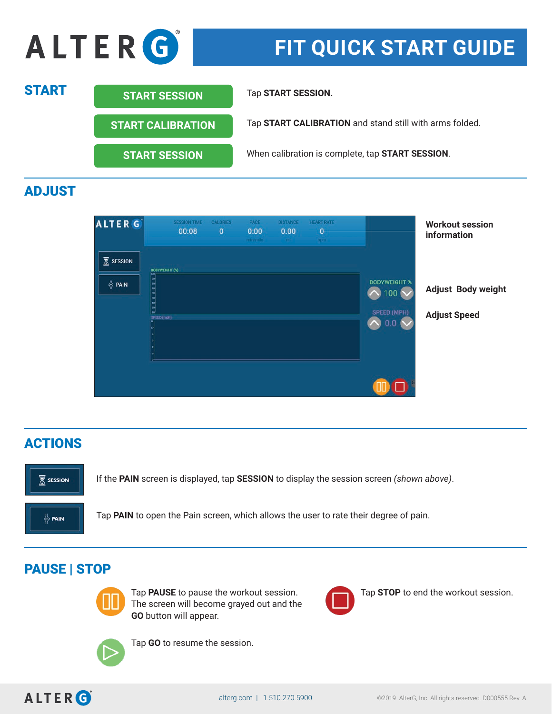

# ADJUST



# ACTIONS



If the **PAIN** screen is displayed, tap **SESSION** to display the session screen *(shown above)*.

Tap **PAIN** to open the Pain screen, which allows the user to rate their degree of pain.

### PAUSE | STOP



The screen will become grayed out and the **GO** button will appear.



Tap **PAUSE** to pause the workout session. Tap **STOP** to end the workout session.



Tap **GO** to resume the session.